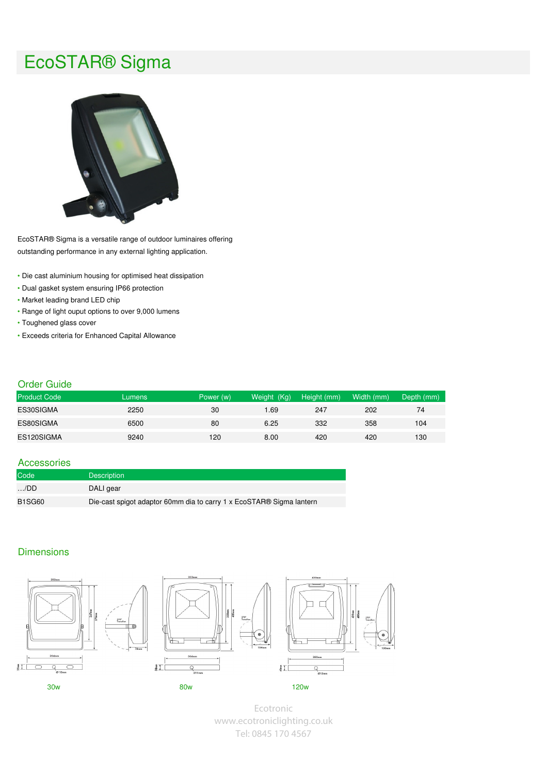# EcoSTAR® Sigma



EcoSTAR® Sigma is a versatile range of outdoor luminaires offering outstanding performance in any external lighting application.

- Die cast aluminium housing for optimised heat dissipation
- Dual gasket system ensuring IP66 protection
- Market leading brand LED chip
- Range of light ouput options to over 9,000 lumens
- Toughened glass cover
- Exceeds criteria for Enhanced Capital Allowance

#### Order Guide

| <b>Product Code</b> | Lumens | Power (w) | (Kg)<br><b>Weight</b> | Height (mm) | Width (mm) | Depth (mm) |
|---------------------|--------|-----------|-----------------------|-------------|------------|------------|
| ES30SIGMA           | 2250   | 30        | .69                   | 247         | 202        | 74         |
| ES80SIGMA           | 6500   | 80        | 6.25                  | 332         | 358        | 104        |
| ES120SIGMA          | 9240   | 120       | 8.00                  | 420         | 420        | 130        |

## Accessories

| Code          | <b>Description</b>                                                   |
|---------------|----------------------------------------------------------------------|
| $\ldots$ /DD  | DALI gear                                                            |
| <b>B1SG60</b> | Die-cast spigot adaptor 60mm dia to carry 1 x EcoSTAR® Sigma lantern |

# **Dimensions**







Ecotronic www.ecotroniclighting.co.uk Tel: 0845 170 4567